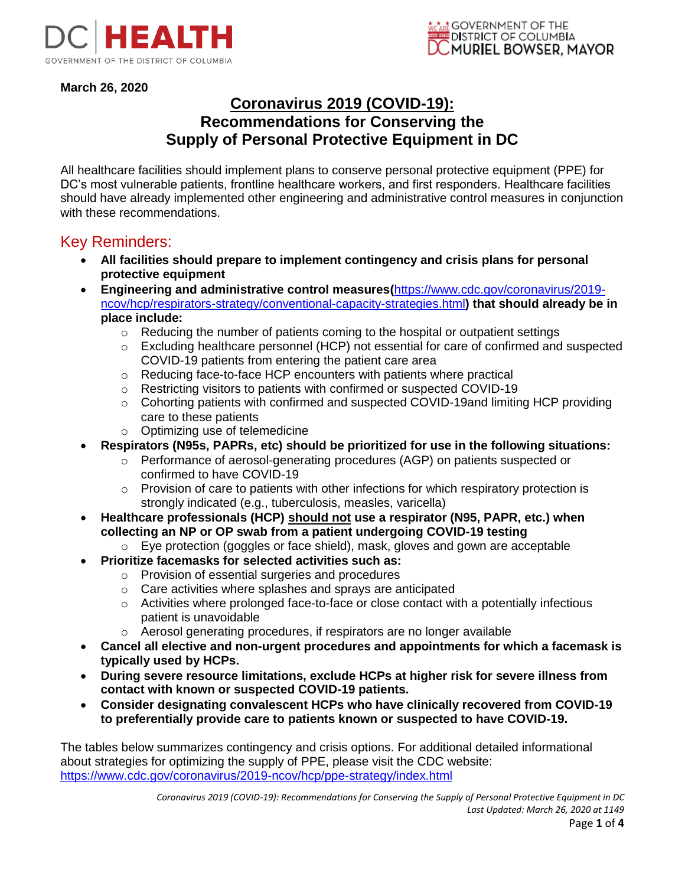

**March 26, 2020**

### **Coronavirus 2019 (COVID-19): Recommendations for Conserving the Supply of Personal Protective Equipment in DC**

All healthcare facilities should implement plans to conserve personal protective equipment (PPE) for DC's most vulnerable patients, frontline healthcare workers, and first responders. Healthcare facilities should have already implemented other engineering and administrative control measures in conjunction with these recommendations.

### Key Reminders:

- **All facilities should prepare to implement contingency and crisis plans for personal protective equipment**
- **Engineering and administrative control measures(**https://www.cdc.gov/coronavirus/2019 ncov/hcp/respirators-strategy/conventional-capacity-strategies.html**) that should already be in place include:**
	- o Reducing the number of patients coming to the hospital or outpatient settings
	- $\circ$  Excluding healthcare personnel (HCP) not essential for care of confirmed and suspected COVID-19 patients from entering the patient care area
	- o Reducing face-to-face HCP encounters with patients where practical
	- o Restricting visitors to patients with confirmed or suspected COVID-19
	- $\circ$  Cohorting patients with confirmed and suspected COVID-19and limiting HCP providing care to these patients
	- o Optimizing use of telemedicine
- **Respirators (N95s, PAPRs, etc) should be prioritized for use in the following situations:**
	- o Performance of aerosol-generating procedures (AGP) on patients suspected or confirmed to have COVID-19
	- $\circ$  Provision of care to patients with other infections for which respiratory protection is strongly indicated (e.g., tuberculosis, measles, varicella)
- **Healthcare professionals (HCP) should not use a respirator (N95, PAPR, etc.) when collecting an NP or OP swab from a patient undergoing COVID-19 testing**
	- $\circ$  Eye protection (goggles or face shield), mask, gloves and gown are acceptable
- **Prioritize facemasks for selected activities such as:** 
	- o Provision of essential surgeries and procedures
	- o Care activities where splashes and sprays are anticipated
	- o Activities where prolonged face-to-face or close contact with a potentially infectious patient is unavoidable
	- o Aerosol generating procedures, if respirators are no longer available
- **Cancel all elective and non-urgent procedures and appointments for which a facemask is typically used by HCPs.**
- **During severe resource limitations, exclude HCPs at higher risk for severe illness from contact with known or suspected COVID-19 patients.**
- **Consider designating convalescent HCPs who have clinically recovered from COVID-19 to preferentially provide care to patients known or suspected to have COVID-19.**

The tables below summarizes contingency and crisis options. For additional detailed informational about strategies for optimizing the supply of PPE, please visit the CDC website: https://www.cdc.gov/coronavirus/2019-ncov/hcp/ppe-strategy/index.html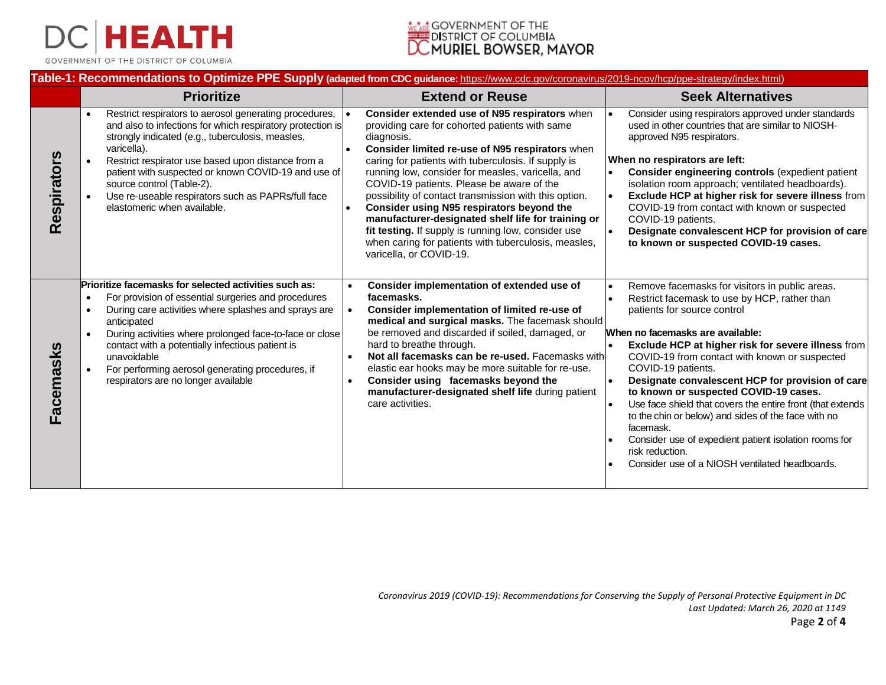

GOVERNMENT OF THE DISTRICT OF COLUMBIA



#### **Table-1: Recommendations to Optimize PPE Supply (adapted from CDC guidance:** https://www.cdc.gov/coronavirus/2019-ncov/hcp/ppe-strategy/index.html)

|                    | <b>Prioritize</b>                                                                                                                                                                                                                                                                                                                                                                                                      | <b>Extend or Reuse</b>                                                                                                                                                                                                                                                                                                                                                                                                                                                                                                                                                                                                          | <b>Seek Alternatives</b>                                                                                                                                                                                                                                                                                                                                                                                                                                                                                                                                                                                                                                    |
|--------------------|------------------------------------------------------------------------------------------------------------------------------------------------------------------------------------------------------------------------------------------------------------------------------------------------------------------------------------------------------------------------------------------------------------------------|---------------------------------------------------------------------------------------------------------------------------------------------------------------------------------------------------------------------------------------------------------------------------------------------------------------------------------------------------------------------------------------------------------------------------------------------------------------------------------------------------------------------------------------------------------------------------------------------------------------------------------|-------------------------------------------------------------------------------------------------------------------------------------------------------------------------------------------------------------------------------------------------------------------------------------------------------------------------------------------------------------------------------------------------------------------------------------------------------------------------------------------------------------------------------------------------------------------------------------------------------------------------------------------------------------|
| <b>Respirators</b> | Restrict respirators to aerosol generating procedures,<br>and also to infections for which respiratory protection is<br>strongly indicated (e.g., tuberculosis, measles,<br>varicella).<br>Restrict respirator use based upon distance from a<br>patient with suspected or known COVID-19 and use of<br>source control (Table-2).<br>Use re-useable respirators such as PAPRs/full face<br>elastomeric when available. | Consider extended use of N95 respirators when<br>providing care for cohorted patients with same<br>diagnosis.<br>Consider limited re-use of N95 respirators when<br>caring for patients with tuberculosis. If supply is<br>running low, consider for measles, varicella, and<br>COVID-19 patients. Please be aware of the<br>possibility of contact transmission with this option.<br>Consider using N95 respirators beyond the<br>manufacturer-designated shelf life for training or<br>fit testing. If supply is running low, consider use<br>when caring for patients with tuberculosis, measles,<br>varicella, or COVID-19. | Consider using respirators approved under standards<br>used in other countries that are similar to NIOSH-<br>approved N95 respirators.<br>When no respirators are left:<br>Consider engineering controls (expedient patient<br>isolation room approach; ventilated headboards).<br>Exclude HCP at higher risk for severe illness from<br>COVID-19 from contact with known or suspected<br>COVID-19 patients.<br>Designate convalescent HCP for provision of care<br>to known or suspected COVID-19 cases.                                                                                                                                                   |
| Facemasks          | Prioritize facemasks for selected activities such as:<br>For provision of essential surgeries and procedures<br>During care activities where splashes and sprays are<br>anticipated<br>During activities where prolonged face-to-face or close<br>contact with a potentially infectious patient is<br>unavoidable<br>For performing aerosol generating procedures, if<br>respirators are no longer available           | Consider implementation of extended use of<br>facemasks.<br>Consider implementation of limited re-use of<br>$\bullet$<br>medical and surgical masks. The facemask should<br>be removed and discarded if soiled, damaged, or<br>hard to breathe through.<br>Not all facemasks can be re-used. Facemasks with<br>elastic ear hooks may be more suitable for re-use.<br>Consider using facemasks beyond the<br>$\bullet$<br>manufacturer-designated shelf life during patient<br>care activities.                                                                                                                                  | Remove facemasks for visitors in public areas.<br>Restrict facemask to use by HCP, rather than<br>patients for source control<br>When no facemasks are available:<br>Exclude HCP at higher risk for severe illness from<br>COVID-19 from contact with known or suspected<br>COVID-19 patients.<br>Designate convalescent HCP for provision of care<br>to known or suspected COVID-19 cases.<br>Use face shield that covers the entire front (that extends<br>to the chin or below) and sides of the face with no<br>facemask.<br>Consider use of expedient patient isolation rooms for<br>risk reduction.<br>Consider use of a NIOSH ventilated headboards. |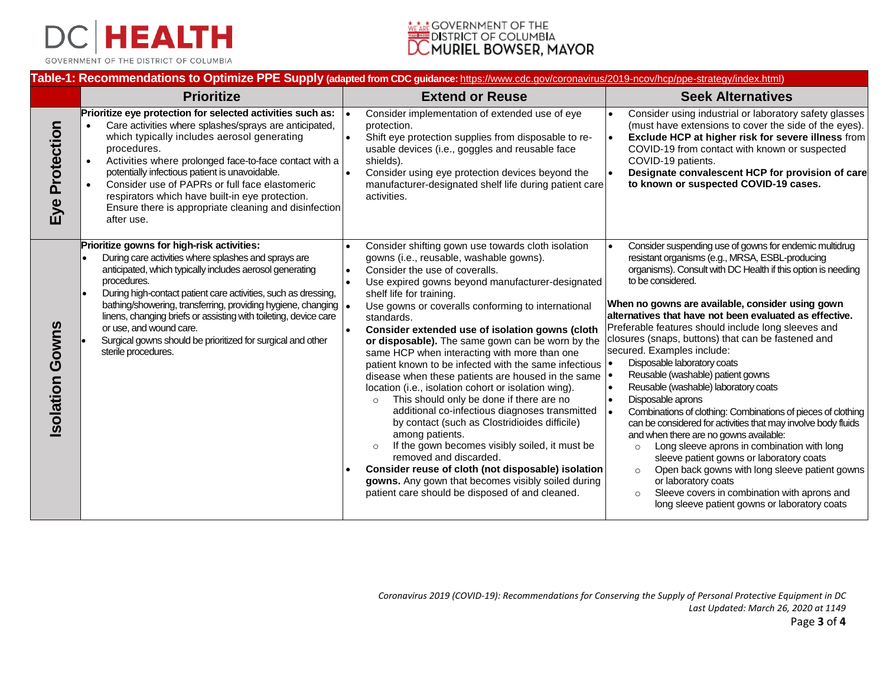

GOVERNMENT OF THE DISTRICT OF COLUMBIA

# <u>rtar</u> Government of the<br>DISTRICT OF COLUMBIA<br>**COMURIEL BOWSER, MAYOR**

#### **Table-1: Recommendations to Optimize PPE Supply (adapted from CDC guidance:** https://www.cdc.gov/coronavirus/2019-ncov/hcp/ppe-strategy/index.html)

|                | <b>Prioritize</b>                                                                                                                                                                                                                                                                                                                                                                                                                                                                                       | <b>Extend or Reuse</b>                                                                                                                                                                                                                                                                                                                                                                                                                                                                                                                                                                                                                                                                                                                                                                                                                                                                                                                                                                                                                                    | <b>Seek Alternatives</b>                                                                                                                                                                                                                                                                                                                                                                                                                                                                                                                                                                                                                                                                                                                                                                                                                                                                                                                                                                                                                                                         |
|----------------|---------------------------------------------------------------------------------------------------------------------------------------------------------------------------------------------------------------------------------------------------------------------------------------------------------------------------------------------------------------------------------------------------------------------------------------------------------------------------------------------------------|-----------------------------------------------------------------------------------------------------------------------------------------------------------------------------------------------------------------------------------------------------------------------------------------------------------------------------------------------------------------------------------------------------------------------------------------------------------------------------------------------------------------------------------------------------------------------------------------------------------------------------------------------------------------------------------------------------------------------------------------------------------------------------------------------------------------------------------------------------------------------------------------------------------------------------------------------------------------------------------------------------------------------------------------------------------|----------------------------------------------------------------------------------------------------------------------------------------------------------------------------------------------------------------------------------------------------------------------------------------------------------------------------------------------------------------------------------------------------------------------------------------------------------------------------------------------------------------------------------------------------------------------------------------------------------------------------------------------------------------------------------------------------------------------------------------------------------------------------------------------------------------------------------------------------------------------------------------------------------------------------------------------------------------------------------------------------------------------------------------------------------------------------------|
| Eye Protection | Prioritize eye protection for selected activities such as:<br>Care activities where splashes/sprays are anticipated,<br>which typically includes aerosol generating<br>procedures.<br>Activities where prolonged face-to-face contact with a<br>potentially infectious patient is unavoidable.<br>Consider use of PAPRs or full face elastomeric<br>respirators which have built-in eye protection.<br>Ensure there is appropriate cleaning and disinfection<br>after use.                              | Consider implementation of extended use of eye<br>protection.<br>Shift eye protection supplies from disposable to re-<br>usable devices (i.e., goggles and reusable face<br>shields).<br>Consider using eye protection devices beyond the<br>manufacturer-designated shelf life during patient care<br>activities.                                                                                                                                                                                                                                                                                                                                                                                                                                                                                                                                                                                                                                                                                                                                        | Consider using industrial or laboratory safety glasses<br>(must have extensions to cover the side of the eyes).<br>Exclude HCP at higher risk for severe illness from<br>۰.<br>COVID-19 from contact with known or suspected<br>COVID-19 patients.<br>Designate convalescent HCP for provision of care<br>to known or suspected COVID-19 cases.                                                                                                                                                                                                                                                                                                                                                                                                                                                                                                                                                                                                                                                                                                                                  |
| solation Gowns | Prioritize gowns for high-risk activities:<br>During care activities where splashes and sprays are<br>anticipated, which typically includes aerosol generating<br>procedures.<br>During high-contact patient care activities, such as dressing,<br>bathing/showering, transferring, providing hygiene, changing  .<br>linens, changing briefs or assisting with toileting, device care<br>or use, and wound care.<br>Surgical gowns should be prioritized for surgical and other<br>sterile procedures. | Consider shifting gown use towards cloth isolation<br>gowns (i.e., reusable, washable gowns).<br>Consider the use of coveralls.<br>Use expired gowns beyond manufacturer-designated<br>shelf life for training.<br>Use gowns or coveralls conforming to international<br>standards.<br>Consider extended use of isolation gowns (cloth<br>or disposable). The same gown can be worn by the<br>same HCP when interacting with more than one<br>patient known to be infected with the same infectious   •<br>disease when these patients are housed in the same $  \cdot  $<br>location (i.e., isolation cohort or isolation wing).<br>This should only be done if there are no<br>$\circ$<br>additional co-infectious diagnoses transmitted<br>by contact (such as Clostridioides difficile)<br>among patients.<br>If the gown becomes visibly soiled, it must be<br>removed and discarded.<br>Consider reuse of cloth (not disposable) isolation<br>gowns. Any gown that becomes visibly soiled during<br>patient care should be disposed of and cleaned. | Consider suspending use of gowns for endemic multidrug<br>I۰<br>resistant organisms (e.g., MRSA, ESBL-producing<br>organisms). Consult with DC Health if this option is needing<br>to be considered.<br>When no gowns are available, consider using gown<br>alternatives that have not been evaluated as effective.<br>Preferable features should include long sleeves and<br>closures (snaps, buttons) that can be fastened and<br>secured. Examples include:<br>Disposable laboratory coats<br>Reusable (washable) patient gowns<br>Reusable (washable) laboratory coats<br>Disposable aprons<br>Combinations of clothing: Combinations of pieces of clothing<br>can be considered for activities that may involve body fluids<br>and when there are no gowns available:<br>Long sleeve aprons in combination with long<br>$\circ$<br>sleeve patient gowns or laboratory coats<br>Open back gowns with long sleeve patient gowns<br>$\circ$<br>or laboratory coats<br>Sleeve covers in combination with aprons and<br>$\circ$<br>long sleeve patient gowns or laboratory coats |